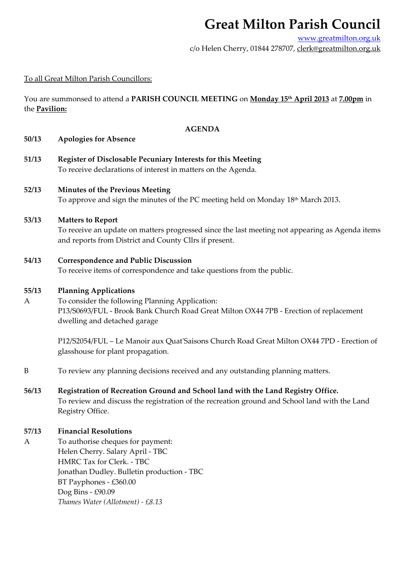# **Great Milton Parish Council**

www.greatmilton.org.uk c/o Helen Cherry, 01844 278707, clerk@greatmilton.org.uk

## To all Great Milton Parish Councillors:

You are summonsed to attend a **PARISH COUNCIL MEETING** on **Monday 15th April 2013** at **7.00pm** in the **Pavilion:**

#### **AGENDA**

#### **50/13 Apologies for Absence**

**51/13 Register of Disclosable Pecuniary Interests for this Meeting** To receive declarations of interest in matters on the Agenda.

## **52/13 Minutes of the Previous Meeting**

To approve and sign the minutes of the PC meeting held on Monday  $18<sup>th</sup>$  March 2013.

#### **53/13 Matters to Report**

To receive an update on matters progressed since the last meeting not appearing as Agenda items and reports from District and County Cllrs if present.

#### **54/13 Correspondence and Public Discussion**

To receive items of correspondence and take questions from the public.

#### **55/13 Planning Applications**

A To consider the following Planning Application: P13/S0693/FUL ‐ Brook Bank Church Road Great Milton OX44 7PB ‐ Erection of replacement dwelling and detached garage

P12/S2054/FUL – Le Manoir aux Quat'Saisons Church Road Great Milton OX44 7PD - Erection of glasshouse for plant propagation.

- B To review any planning decisions received and any outstanding planning matters.
- **56/13 Registration of Recreation Ground and School land with the Land Registry Office.** To review and discuss the registration of the recreation ground and School land with the Land Registry Office.

### **57/13 Financial Resolutions**

A To authorise cheques for payment: Helen Cherry. Salary April ‐ TBC HMRC Tax for Clerk. ‐ TBC Jonathan Dudley. Bulletin production ‐ TBC BT Payphones ‐ £360.00 Dog Bins ‐ £90.09 *Thames Water (Allotment) ‐ £8.13*